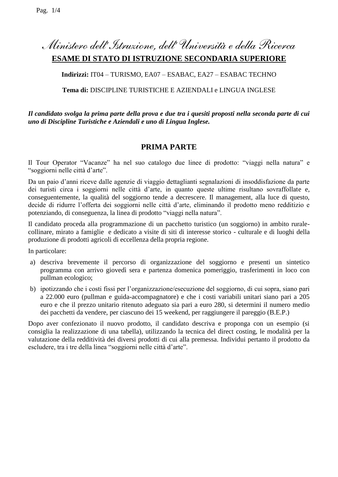# *Ministero dell'Istruzione, dell' Università e della Ricerca* **ESAME DI STATO DI ISTRUZIONE SECONDARIA SUPERIORE**

# **Indirizzi:** IT04 – TURISMO, EA07 – ESABAC, EA27 – ESABAC TECHNO

## **Tema di:** DISCIPLINE TURISTICHE E AZIENDALI e LINGUA INGLESE

## *Il candidato svolga la prima parte della prova e due tra i quesiti proposti nella seconda parte di cui uno di Discipline Turistiche e Aziendali e uno di Lingua Inglese.*

# **PRIMA PARTE**

Il Tour Operator "Vacanze" ha nel suo catalogo due linee di prodotto: "viaggi nella natura" e "soggiorni nelle città d'arte".

Da un paio d'anni riceve dalle agenzie di viaggio dettaglianti segnalazioni di insoddisfazione da parte dei turisti circa i soggiorni nelle città d'arte, in quanto queste ultime risultano sovraffollate e, conseguentemente, la qualità del soggiorno tende a decrescere. Il management, alla luce di questo, decide di ridurre l'offerta dei soggiorni nelle città d'arte, eliminando il prodotto meno redditizio e potenziando, di conseguenza, la linea di prodotto "viaggi nella natura".

Il candidato proceda alla programmazione di un pacchetto turistico (un soggiorno) in ambito ruralecollinare, mirato a famiglie e dedicato a visite di siti di interesse storico - culturale e di luoghi della produzione di prodotti agricoli di eccellenza della propria regione.

In particolare:

- a) descriva brevemente il percorso di organizzazione del soggiorno e presenti un sintetico programma con arrivo giovedì sera e partenza domenica pomeriggio, trasferimenti in loco con pullman ecologico;
- b) ipotizzando che i costi fissi per l'organizzazione/esecuzione del soggiorno, di cui sopra, siano pari a 22.000 euro (pullman e guida-accompagnatore) e che i costi variabili unitari siano pari a 205 euro e che il prezzo unitario ritenuto adeguato sia pari a euro 280, si determini il numero medio dei pacchetti da vendere, per ciascuno dei 15 weekend, per raggiungere il pareggio (B.E.P.)

Dopo aver confezionato il nuovo prodotto, il candidato descriva e proponga con un esempio (si consiglia la realizzazione di una tabella), utilizzando la tecnica del direct costing, le modalità per la valutazione della redditività dei diversi prodotti di cui alla premessa. Individui pertanto il prodotto da escludere, tra i tre della linea "soggiorni nelle città d'arte".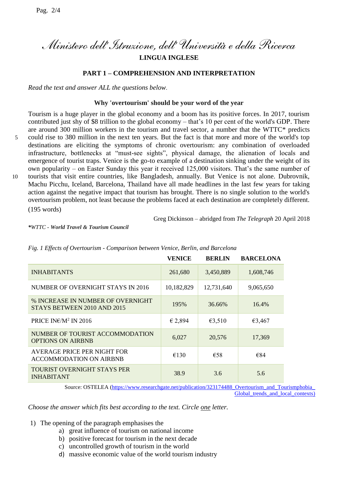*Ministero dell'Istruzione, dell' Università e della Ricerca*

**LINGUA INGLESE**

### **PART 1 – COMPREHENSION AND INTERPRETATION**

*Read the text and answer ALL the questions below*.

### **Why 'overtourism' should be your word of the year**

Tourism is a huge player in the global economy and a boom has its positive forces. In 2017, tourism contributed just shy of \$8 trillion to the global economy – that's 10 per cent of the world's GDP. There are around 300 million workers in the tourism and travel sector, a number that the WTTC\* predicts 5 could rise to 380 million in the next ten years. But the fact is that more and more of the world's top destinations are eliciting the symptoms of chronic overtourism: any combination of overloaded infrastructure, bottlenecks at "must-see sights", physical damage, the alienation of locals and emergence of tourist traps. Venice is the go-to example of a destination sinking under the weight of its own popularity – on Easter Sunday this year it received 125,000 visitors. That's the same number of 10 tourists that visit entire countries, like Bangladesh, annually. But Venice is not alone. Dubrovnik, Machu Picchu, Iceland, Barcelona, Thailand have all made headlines in the last few years for taking action against the negative impact that tourism has brought. There is no single solution to the world's overtourism problem, not least because the problems faced at each destination are completely different.

(195 words)

Greg Dickinson – abridged from *The Telegraph* 20 April 2018

*\*WTTC - World Travel & Tourism Council*

|                                                                  | <b>VENICE</b> | <b>BERLIN</b> | <b>BARCELONA</b> |
|------------------------------------------------------------------|---------------|---------------|------------------|
| <b>INHABITANTS</b>                                               | 261,680       | 3,450,889     | 1,608,746        |
| NUMBER OF OVERNIGHT STAYS IN 2016                                | 10,182,829    | 12,731,640    | 9,065,650        |
| % INCREASE IN NUMBER OF OVERNIGHT<br>STAYS BETWEEN 2010 AND 2015 | 195%          | 36.66%        | 16.4%            |
| PRICE IN $\varepsilon/M^2$ IN 2016                               | € 2,894       | €3,510        | €3,467           |
| NUMBER OF TOURIST ACCOMMODATION<br><b>OPTIONS ON AIRBNB</b>      | 6,027         | 20,576        | 17,369           |
| AVERAGE PRICE PER NIGHT FOR<br><b>ACCOMMODATION ON AIRBNB</b>    | €130          | €58           | €84              |
| TOURIST OVERNIGHT STAYS PER<br><b>INHABITANT</b>                 | 38.9          | 3.6           | 5.6              |

*Fig. 1 Effects of Overtourism - Comparison between Venice, Berlin, and Barcelona*

Source: OSTELEA [\(https://www.researchgate.net/publication/323174488\\_Overtourism\\_and\\_Tourismphobia\\_](https://www.researchgate.net/publication/323174488_Overtourism_and_Tourismphobia_Global_trends_and_local_contexts) Global trends and local contexts)

*Choose the answer which fits best according to the text. Circle one letter.*

- 1) The opening of the paragraph emphasises the
	- a) great influence of tourism on national income
	- b) positive forecast for tourism in the next decade
	- c) uncontrolled growth of tourism in the world
	- d) massive economic value of the world tourism industry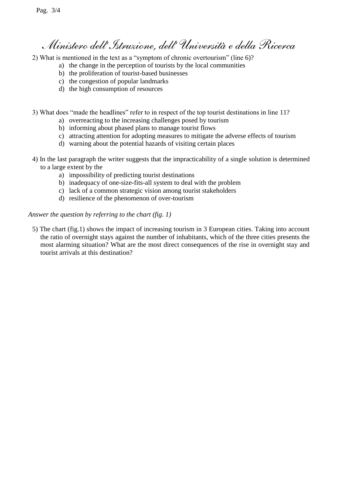# *Ministero dell'Istruzione, dell' Università e della Ricerca*

2) What is mentioned in the text as a "symptom of chronic overtourism" (line 6)?

- a) the change in the perception of tourists by the local communities
	- b) the proliferation of tourist-based businesses
	- c) the congestion of popular landmarks
	- d) the high consumption of resources

3) What does "made the headlines" refer to in respect of the top tourist destinations in line 11?

- a) overreacting to the increasing challenges posed by tourism
- b) informing about phased plans to manage tourist flows
- c) attracting attention for adopting measures to mitigate the adverse effects of tourism
- d) warning about the potential hazards of visiting certain places
- 4) In the last paragraph the writer suggests that the impracticability of a single solution is determined to a large extent by the
	- a) impossibility of predicting tourist destinations
	- b) inadequacy of one-size-fits-all system to deal with the problem
	- c) lack of a common strategic vision among tourist stakeholders
	- d) resilience of the phenomenon of over-tourism

### *Answer the question by referring to the chart (fig. 1)*

5) The chart (fig.1) shows the impact of increasing tourism in 3 European cities. Taking into account the ratio of overnight stays against the number of inhabitants, which of the three cities presents the most alarming situation? What are the most direct consequences of the rise in overnight stay and tourist arrivals at this destination?